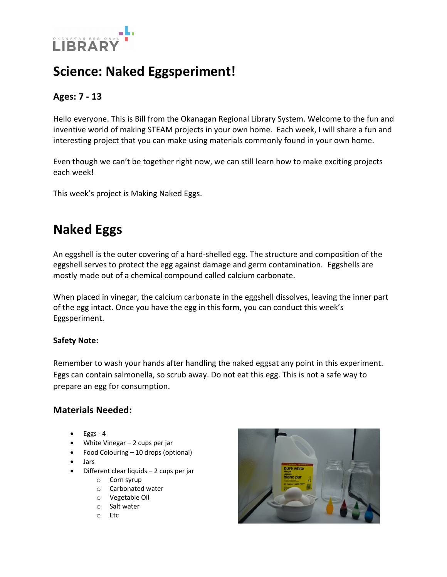

# **Science: Naked Eggsperiment!**

### **Ages: 7 - 13**

Hello everyone. This is Bill from the Okanagan Regional Library System. Welcome to the fun and inventive world of making STEAM projects in your own home. Each week, I will share a fun and interesting project that you can make using materials commonly found in your own home.

Even though we can't be together right now, we can still learn how to make exciting projects each week!

This week's project is Making Naked Eggs.

# **Naked Eggs**

An eggshell is the outer covering of a hard-shelled egg. The structure and composition of the eggshell serves to protect the egg against damage and germ contamination. Eggshells are mostly made out of a chemical compound called calcium carbonate.

When placed in vinegar, the calcium carbonate in the eggshell dissolves, leaving the inner part of the egg intact. Once you have the egg in this form, you can conduct this week's Eggsperiment.

#### **Safety Note:**

Remember to wash your hands after handling the naked eggsat any point in this experiment. Eggs can contain salmonella, so scrub away. Do not eat this egg. This is not a safe way to prepare an egg for consumption.

#### **Materials Needed:**

- Eggs 4
- White Vinegar 2 cups per jar
- Food Colouring 10 drops (optional)
- Jars
- Different clear liquids  $-2$  cups per jar
	- o Corn syrup
	- o Carbonated water
	- o Vegetable Oil
	- o Salt water
	- o Etc

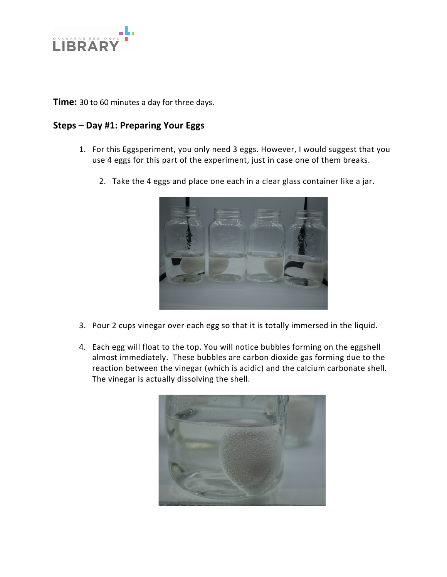

**Time:** 30 to 60 minutes a day for three days.

#### **Steps – Day #1: Preparing Your Eggs**

- 1. For this Eggsperiment, you only need 3 eggs. However, I would suggest that you use 4 eggs for this part of the experiment, just in case one of them breaks.
	- 2. Take the 4 eggs and place one each in a clear glass container like a jar.



- 3. Pour 2 cups vinegar over each egg so that it is totally immersed in the liquid.
- 4. Each egg will float to the top. You will notice bubbles forming on the eggshell almost immediately. These bubbles are carbon dioxide gas forming due to the reaction between the vinegar (which is acidic) and the calcium carbonate shell. The vinegar is actually dissolving the shell.

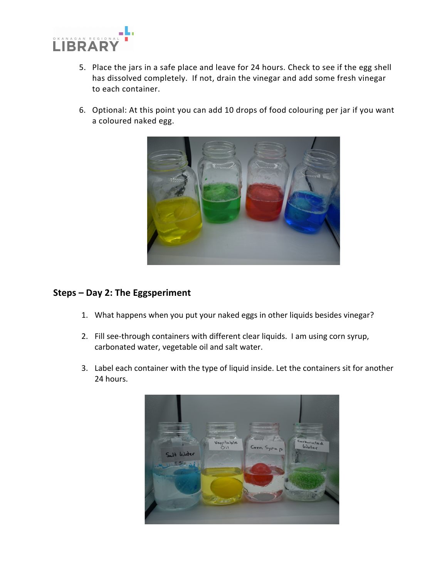

- 5. Place the jars in a safe place and leave for 24 hours. Check to see if the egg shell has dissolved completely. If not, drain the vinegar and add some fresh vinegar to each container.
- 6. Optional: At this point you can add 10 drops of food colouring per jar if you want a coloured naked egg.



#### **Steps – Day 2: The Eggsperiment**

- 1. What happens when you put your naked eggs in other liquids besides vinegar?
- 2. Fill see-through containers with different clear liquids. I am using corn syrup, carbonated water, vegetable oil and salt water.
- 3. Label each container with the type of liquid inside. Let the containers sit for another 24 hours.

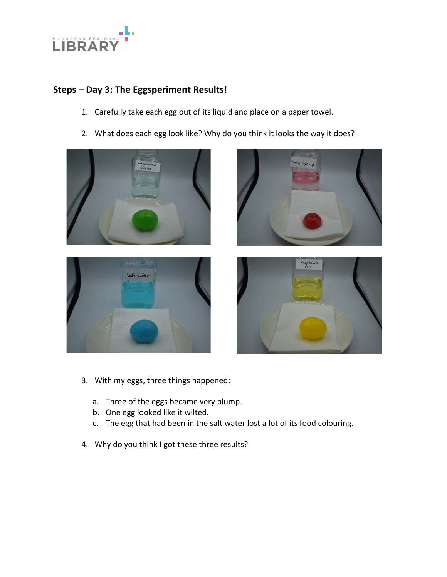

### **Steps – Day 3: The Eggsperiment Results!**

- 1. Carefully take each egg out of its liquid and place on a paper towel.
- 2. What does each egg look like? Why do you think it looks the way it does?









- 3. With my eggs, three things happened:
	- a. Three of the eggs became very plump.
	- b. One egg looked like it wilted.
	- c. The egg that had been in the salt water lost a lot of its food colouring.
- 4. Why do you think I got these three results?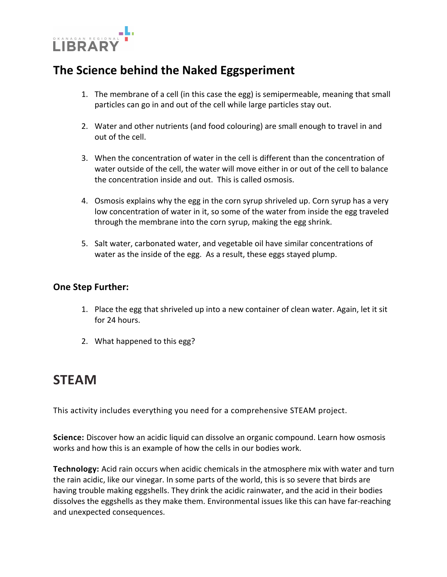

## **The Science behind the Naked Eggsperiment**

- 1. The membrane of a cell (in this case the egg) is semipermeable, meaning that small particles can go in and out of the cell while large particles stay out.
- 2. Water and other nutrients (and food colouring) are small enough to travel in and out of the cell.
- 3. When the concentration of water in the cell is different than the concentration of water outside of the cell, the water will move either in or out of the cell to balance the concentration inside and out. This is called osmosis.
- 4. Osmosis explains why the egg in the corn syrup shriveled up. Corn syrup has a very low concentration of water in it, so some of the water from inside the egg traveled through the membrane into the corn syrup, making the egg shrink.
- 5. Salt water, carbonated water, and vegetable oil have similar concentrations of water as the inside of the egg. As a result, these eggs stayed plump.

#### **One Step Further:**

- 1. Place the egg that shriveled up into a new container of clean water. Again, let it sit for 24 hours.
- 2. What happened to this egg?

## **STEAM**

This activity includes everything you need for a comprehensive STEAM project.

**Science:** Discover how an acidic liquid can dissolve an organic compound. Learn how osmosis works and how this is an example of how the cells in our bodies work.

**Technology:** Acid rain occurs when acidic chemicals in the atmosphere mix with water and turn the rain acidic, like our vinegar. In some parts of the world, this is so severe that birds are having trouble making eggshells. They drink the acidic rainwater, and the acid in their bodies dissolves the eggshells as they make them. Environmental issues like this can have far-reaching and unexpected consequences.